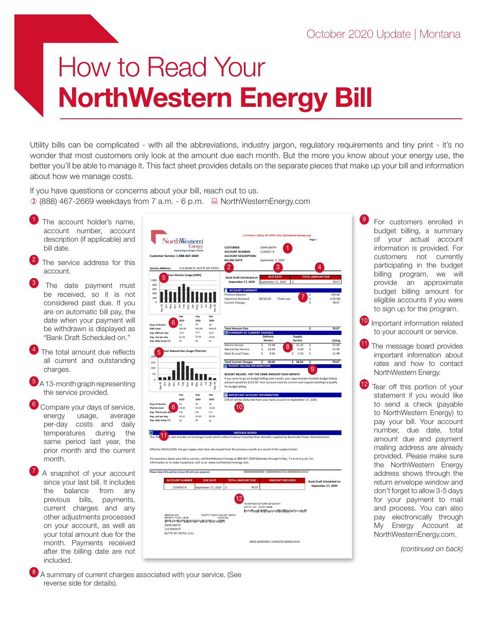## How to Read Your NorthWestern Energy Bill

Utility bills can be complicated - with all the abbreviations, industry jargon, regulatory requirements and tiny print - it's no wonder that most customers only look at the amount due each month. But the more you know about your energy use, the better you'll be able to manage it. This fact sheet provides details on the separate pieces that make up your bill and information about how we manage costs.

If you have questions or concerns about your bill, reach out to us.  $(0.888)$  467-2669 weekdays from 7 a.m. - 6 p.m.  $\Box$  NorthWesternEnergy.com

- The account holder's name, account number, account description (if applicable) and bill date.
- The service address for this account.
- The date payment must be received, so it is not considered past due. If you are on automatic bill pay, the date when your payment will be withdrawn is displayed as "Bank Draft Scheduled on."
- The total amount due reflects all current and outstanding charges.
- A 13-month graph representing the service provided.
- Compare your days of service, energy usage, average per-day costs and daily temperatures during the same period last year, the prior month and the current month.
- A snapshot of your account since your last bill. It includes the balance from any previous bills, payments, current charges and any other adjustments processed on your account, as well as your total amount due for the month. Payments received after the billing date are not included.



For customers enrolled in budget billing, a summary of your actual account information is provided. For customers not currently participating in the budget billing program, we will provide an approximate budget billing amount for eligible accounts if you were to sign up for the program.

<sup>10</sup> Important information related to your account or service.

The message board provides important information about rates and how to contact NorthWestern Energy.

<sup>12</sup> Tear off this portion of your statement if you would like to send a check (payable to NorthWestern Energy) to pay your bill. Your account number, due date, total amount due and payment mailing address are already provided. Please make sure the NorthWestern Energy address shows through the return envelope window and don't forget to allow 3-5 days for your payment to mail and process. You can also pay electronically through My Energy Account at NorthWesternEnergy.com.

*(continued on back)*

<sup>8</sup> A summary of current charges associated with your service. (See reverse side for details).